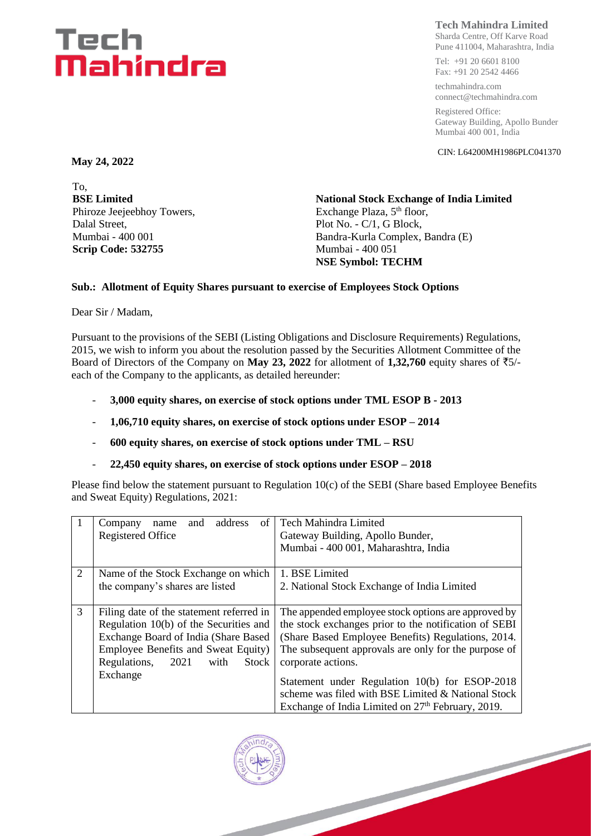## Tech Mahindra

### **Tech Mahindra Limited**

Sharda Centre, Off Karve Road Pune 411004, Maharashtra, India

Tel: +91 20 6601 8100 Fax: +91 20 2542 4466

techmahindra.com connect@techmahindra.com

Registered Office: Gateway Building, Apollo Bunder Mumbai 400 001, India

CIN: L64200MH1986PLC041370

**May 24, 2022**

To, **BSE Limited** Phiroze Jeejeebhoy Towers, Dalal Street, Mumbai - 400 001 **Scrip Code: 532755**

**National Stock Exchange of India Limited** Exchange Plaza, 5<sup>th</sup> floor, Plot No. - C/1, G Block, Bandra-Kurla Complex, Bandra (E) Mumbai - 400 051 **NSE Symbol: TECHM**

#### **Sub.: Allotment of Equity Shares pursuant to exercise of Employees Stock Options**

Dear Sir / Madam,

Pursuant to the provisions of the SEBI (Listing Obligations and Disclosure Requirements) Regulations, 2015, we wish to inform you about the resolution passed by the Securities Allotment Committee of the Board of Directors of the Company on **May 23, 2022** for allotment of **1,32,760** equity shares of `5/ each of the Company to the applicants, as detailed hereunder:

- **3,000 equity shares, on exercise of stock options under TML ESOP B - 2013**
- **1,06,710 equity shares, on exercise of stock options under ESOP – 2014**
- **600 equity shares, on exercise of stock options under TML – RSU**
- **22,450 equity shares, on exercise of stock options under ESOP – 2018**

Please find below the statement pursuant to Regulation 10(c) of the SEBI (Share based Employee Benefits and Sweat Equity) Regulations, 2021:

|                | address<br>of<br>and<br>Company<br>name      | <b>Tech Mahindra Limited</b>                                  |  |  |
|----------------|----------------------------------------------|---------------------------------------------------------------|--|--|
|                | Registered Office                            | Gateway Building, Apollo Bunder,                              |  |  |
|                |                                              | Mumbai - 400 001, Maharashtra, India                          |  |  |
| $\overline{2}$ | Name of the Stock Exchange on which          | 1. BSE Limited                                                |  |  |
|                | the company's shares are listed              | 2. National Stock Exchange of India Limited                   |  |  |
|                |                                              |                                                               |  |  |
| 3              | Filing date of the statement referred in     | The appended employee stock options are approved by           |  |  |
|                | Regulation 10(b) of the Securities and       | the stock exchanges prior to the notification of SEBI         |  |  |
|                | Exchange Board of India (Share Based         | (Share Based Employee Benefits) Regulations, 2014.            |  |  |
|                | Employee Benefits and Sweat Equity)          | The subsequent approvals are only for the purpose of          |  |  |
|                | Regulations,<br><b>Stock</b><br>2021<br>with | corporate actions.                                            |  |  |
|                | Exchange                                     |                                                               |  |  |
|                |                                              | Statement under Regulation 10(b) for ESOP-2018                |  |  |
|                |                                              | scheme was filed with BSE Limited & National Stock            |  |  |
|                |                                              | Exchange of India Limited on 27 <sup>th</sup> February, 2019. |  |  |

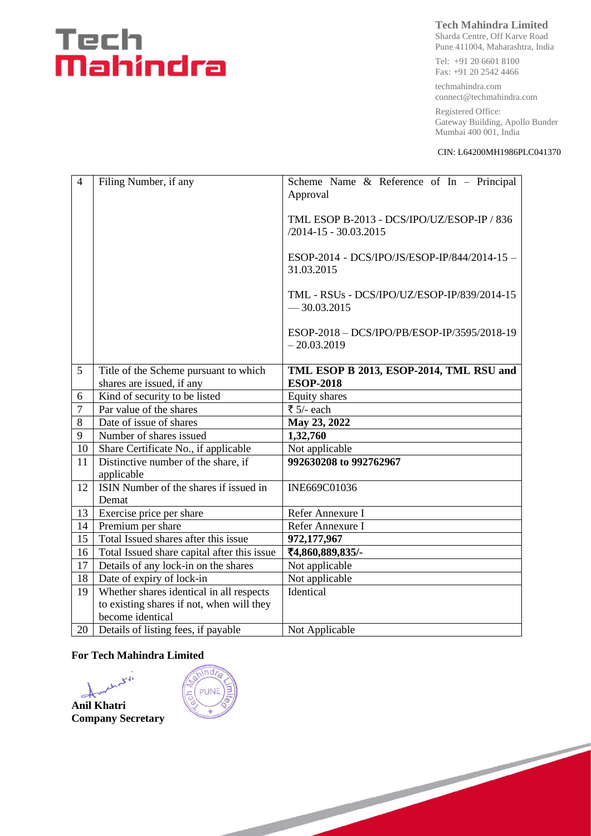# Tech<br>**Mahindra**

#### **Tech Mahindra Limited**

Sharda Centre, Off Karve Road Pune 411004, Maharashtra, India

Tel: +91 20 6601 8100 Fax: +91 20 2542 4466

techmahindra.com connect@techmahindra.com

Registered Office: Gateway Building, Apollo Bunder Mumbai 400 001, India

#### CIN: L64200MH1986PLC041370

| $\overline{4}$  | Filing Number, if any                             | Scheme Name $\&$ Reference of In - Principal<br>Approval                |  |  |
|-----------------|---------------------------------------------------|-------------------------------------------------------------------------|--|--|
|                 |                                                   |                                                                         |  |  |
|                 |                                                   | TML ESOP B-2013 - DCS/IPO/UZ/ESOP-IP / 836<br>$/2014 - 15 - 30.03.2015$ |  |  |
|                 |                                                   | ESOP-2014 - DCS/IPO/JS/ESOP-IP/844/2014-15 -<br>31.03.2015              |  |  |
|                 |                                                   | TML - RSUs - DCS/IPO/UZ/ESOP-IP/839/2014-15<br>$-30.03.2015$            |  |  |
|                 |                                                   | ESOP-2018 - DCS/IPO/PB/ESOP-IP/3595/2018-19<br>$-20.03.2019$            |  |  |
| $5\overline{)}$ | Title of the Scheme pursuant to which             | TML ESOP B 2013, ESOP-2014, TML RSU and                                 |  |  |
|                 | shares are issued, if any                         | <b>ESOP-2018</b>                                                        |  |  |
| 6               | Kind of security to be listed                     | Equity shares                                                           |  |  |
| $\overline{7}$  | Par value of the shares                           | ₹ 5/- each                                                              |  |  |
| 8               | Date of issue of shares                           | May 23, 2022                                                            |  |  |
| 9               | Number of shares issued                           | 1,32,760                                                                |  |  |
| 10              | Share Certificate No., if applicable              | Not applicable                                                          |  |  |
| 11              | Distinctive number of the share, if<br>applicable | 992630208 to 992762967                                                  |  |  |
| 12              | ISIN Number of the shares if issued in            | INE669C01036                                                            |  |  |
|                 | Demat                                             |                                                                         |  |  |
| 13              | Exercise price per share                          | Refer Annexure I                                                        |  |  |
| 14              | Premium per share                                 | Refer Annexure I                                                        |  |  |
| 15              | Total Issued shares after this issue              | 972,177,967                                                             |  |  |
| 16              | Total Issued share capital after this issue       | ₹4,860,889,835/-                                                        |  |  |
| 17              | Details of any lock-in on the shares              | Not applicable                                                          |  |  |
| 18              | Date of expiry of lock-in                         | Not applicable                                                          |  |  |
| 19              | Whether shares identical in all respects          | Identical                                                               |  |  |
|                 | to existing shares if not, when will they         |                                                                         |  |  |
|                 | become identical                                  |                                                                         |  |  |
| 20              | Details of listing fees, if payable               | Not Applicable                                                          |  |  |

#### **For Tech Mahindra Limited**

w r.  $\rightarrow$ **Anil Khatri Company Secretary**